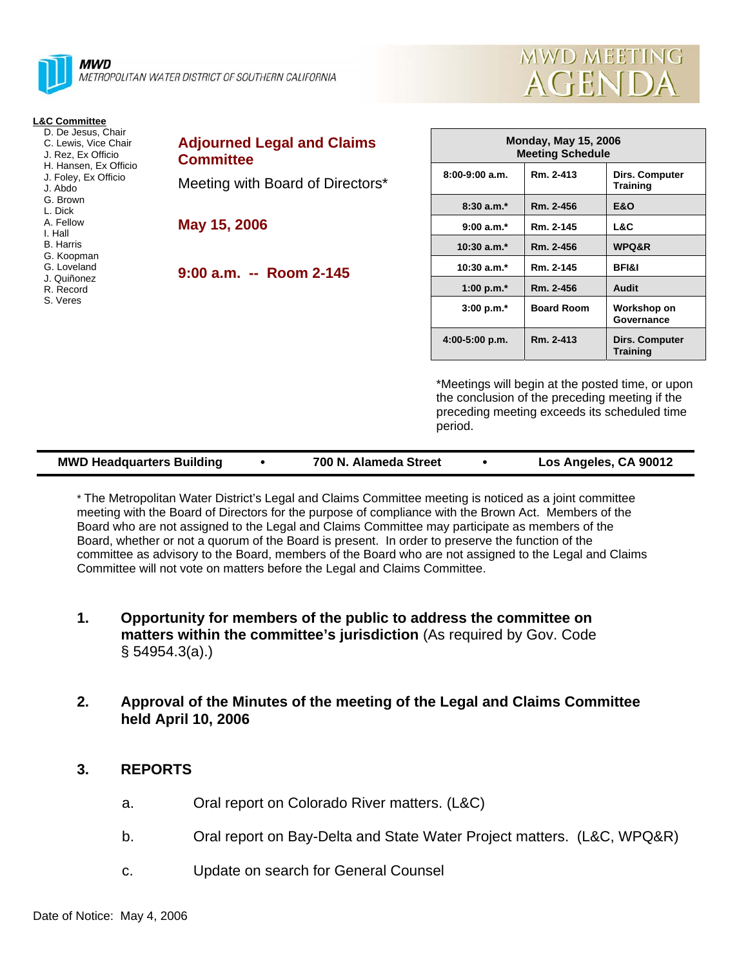

| <b>L&amp;C Committee</b><br>D. De Jesus, Chair<br>C. Lewis, Vice Chair<br>J. Rez, Ex Officio<br>H. Hansen, Ex Officio<br>J. Foley, Ex Officio<br>J. Abdo<br>G. Brown<br>L. Dick<br>A. Fellow<br>I. Hall<br><b>B.</b> Harris<br>G. Koopman | <b>Adjourned Legal and Claims</b><br><b>Committee</b> | <b>Monday, May 15, 2006</b><br><b>Meeting Schedule</b> |                   |                                          |
|-------------------------------------------------------------------------------------------------------------------------------------------------------------------------------------------------------------------------------------------|-------------------------------------------------------|--------------------------------------------------------|-------------------|------------------------------------------|
|                                                                                                                                                                                                                                           | Meeting with Board of Directors*                      | $8:00-9:00$ a.m.                                       | Rm. 2-413         | <b>Dirs. Computer</b><br><b>Training</b> |
|                                                                                                                                                                                                                                           |                                                       | $8:30a.m.*$                                            | Rm. 2-456         | <b>E&amp;O</b>                           |
|                                                                                                                                                                                                                                           | May 15, 2006<br>$9:00$ a.m. -- Room 2-145             | $9:00 a.m.*$                                           | Rm. 2-145         | L&C                                      |
|                                                                                                                                                                                                                                           |                                                       | $10:30$ a.m. <sup>*</sup>                              | Rm. 2-456         | <b>WPQ&amp;R</b>                         |
| G. Loveland                                                                                                                                                                                                                               |                                                       | $10:30$ a.m. $*$                                       | Rm. 2-145         | <b>BFI&amp;I</b>                         |
| J. Quiñonez<br>R. Record                                                                                                                                                                                                                  |                                                       | 1:00 p.m. $*$                                          | Rm. 2-456         | Audit                                    |
| S. Veres                                                                                                                                                                                                                                  |                                                       | $3:00 p.m.*$                                           | <b>Board Room</b> | Workshop on<br>Governance                |
|                                                                                                                                                                                                                                           |                                                       | $4:00-5:00$ p.m.                                       | Rm. 2-413         | <b>Dirs. Computer</b><br><b>Training</b> |

\*Meetings will begin at the posted time, or upon the conclusion of the preceding meeting if the preceding meeting exceeds its scheduled time period.

**AGEND** 

**MWD MEETING** 

|  | <b>MWD Headquarters Building</b> |  | 700 N. Alameda Street |  | Los Angeles, CA 90012 |
|--|----------------------------------|--|-----------------------|--|-----------------------|
|--|----------------------------------|--|-----------------------|--|-----------------------|

\* The Metropolitan Water District's Legal and Claims Committee meeting is noticed as a joint committee meeting with the Board of Directors for the purpose of compliance with the Brown Act. Members of the Board who are not assigned to the Legal and Claims Committee may participate as members of the Board, whether or not a quorum of the Board is present. In order to preserve the function of the committee as advisory to the Board, members of the Board who are not assigned to the Legal and Claims Committee will not vote on matters before the Legal and Claims Committee.

- **1. Opportunity for members of the public to address the committee on matters within the committee's jurisdiction** (As required by Gov. Code § 54954.3(a).)
- **2. Approval of the Minutes of the meeting of the Legal and Claims Committee held April 10, 2006**

#### **3. REPORTS**

- a. Oral report on Colorado River matters. (L&C)
- b. Oral report on Bay-Delta and State Water Project matters. (L&C, WPQ&R)
- c. Update on search for General Counsel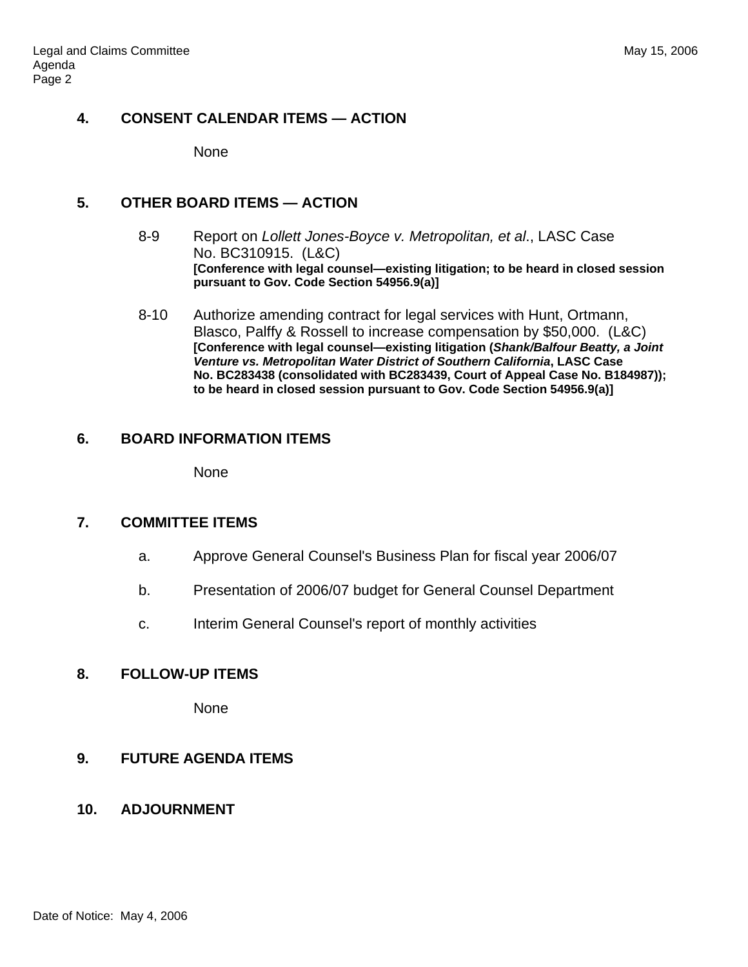## **4. CONSENT CALENDAR ITEMS — ACTION**

None

## **5. OTHER BOARD ITEMS — ACTION**

- 8-9 Report on *Lollett Jones-Boyce v. Metropolitan, et al*., LASC Case No. BC310915. (L&C) **[Conference with legal counsel—existing litigation; to be heard in closed session pursuant to Gov. Code Section 54956.9(a)]**
- 8-10 Authorize amending contract for legal services with Hunt, Ortmann, Blasco, Palffy & Rossell to increase compensation by \$50,000. (L&C) **[Conference with legal counsel—existing litigation (***Shank/Balfour Beatty, a Joint Venture vs. Metropolitan Water District of Southern California***, LASC Case No. BC283438 (consolidated with BC283439, Court of Appeal Case No. B184987)); to be heard in closed session pursuant to Gov. Code Section 54956.9(a)]**

# **6. BOARD INFORMATION ITEMS**

None

#### **7. COMMITTEE ITEMS**

- a. Approve General Counsel's Business Plan for fiscal year 2006/07
- b. Presentation of 2006/07 budget for General Counsel Department
- c. Interim General Counsel's report of monthly activities

#### **8. FOLLOW-UP ITEMS**

None

#### **9. FUTURE AGENDA ITEMS**

#### **10. ADJOURNMENT**